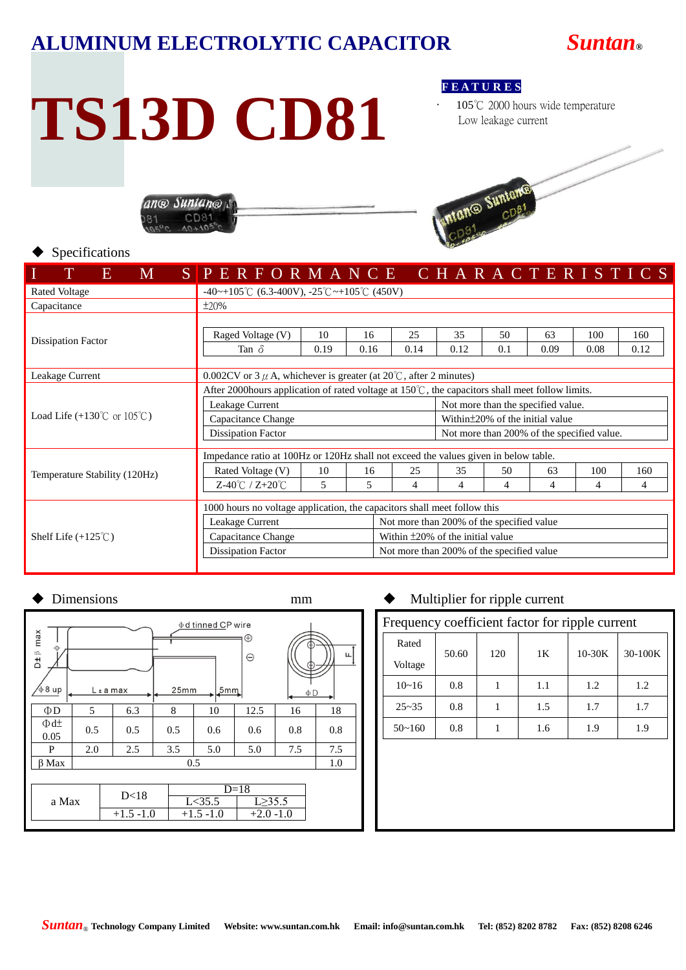## **ALUMINUM ELECTROLYTIC CAPACITOR** *Suntan***®**

# **TS13D CD81**

ano Suntano CD<sub>8</sub>

**F E A T U R E S**

105℃ 2000 hours wide temperature Low leakage current



### Specifications

| <b>M</b><br>O.                                  | SPERFORMANCE CHARACTERISTICS                                                                               |      |                                           |      |                                            |     |      |      |      |  |  |  |  |
|-------------------------------------------------|------------------------------------------------------------------------------------------------------------|------|-------------------------------------------|------|--------------------------------------------|-----|------|------|------|--|--|--|--|
| <b>Rated Voltage</b>                            | $-40$ ~+105°C (6.3-400V), $-25$ °C ~+105°C (450V)                                                          |      |                                           |      |                                            |     |      |      |      |  |  |  |  |
| Capacitance                                     | $\pm 20\%$                                                                                                 |      |                                           |      |                                            |     |      |      |      |  |  |  |  |
|                                                 |                                                                                                            |      |                                           |      |                                            |     |      |      |      |  |  |  |  |
| <b>Dissipation Factor</b>                       | Raged Voltage (V)                                                                                          | 10   | 16                                        | 25   | 35                                         | 50  | 63   | 100  | 160  |  |  |  |  |
|                                                 | Tan $\delta$                                                                                               | 0.19 | 0.16                                      | 0.14 | 0.12                                       | 0.1 | 0.09 | 0.08 | 0.12 |  |  |  |  |
|                                                 |                                                                                                            |      |                                           |      |                                            |     |      |      |      |  |  |  |  |
| Leakage Current                                 | 0.002CV or 3 $\mu$ A, whichever is greater (at 20 $\degree$ C, after 2 minutes)                            |      |                                           |      |                                            |     |      |      |      |  |  |  |  |
|                                                 | After 2000 hours application of rated voltage at $150^{\circ}$ C, the capacitors shall meet follow limits. |      |                                           |      |                                            |     |      |      |      |  |  |  |  |
|                                                 | Leakage Current                                                                                            |      |                                           |      | Not more than the specified value.         |     |      |      |      |  |  |  |  |
| Load Life $(+130^{\circ}$ C or $105^{\circ}$ C) | Capacitance Change                                                                                         |      |                                           |      | Within ± 20% of the initial value          |     |      |      |      |  |  |  |  |
|                                                 | <b>Dissipation Factor</b>                                                                                  |      |                                           |      | Not more than 200% of the specified value. |     |      |      |      |  |  |  |  |
|                                                 | Impedance ratio at 100Hz or 120Hz shall not exceed the values given in below table.                        |      |                                           |      |                                            |     |      |      |      |  |  |  |  |
| Temperature Stability (120Hz)                   | Rated Voltage (V)                                                                                          | 10   | 16                                        | 25   | 35                                         | 50  | 63   | 100  | 160  |  |  |  |  |
|                                                 | Z-40℃ / Z+20℃                                                                                              | 5    | 5                                         | 4    | 4                                          | 4   | 4    | 4    | 4    |  |  |  |  |
|                                                 |                                                                                                            |      |                                           |      |                                            |     |      |      |      |  |  |  |  |
|                                                 | 1000 hours no voltage application, the capacitors shall meet follow this                                   |      |                                           |      |                                            |     |      |      |      |  |  |  |  |
| Shelf Life $(+125^{\circ}$ C)                   | Leakage Current                                                                                            |      | Not more than 200% of the specified value |      |                                            |     |      |      |      |  |  |  |  |
|                                                 | Capacitance Change                                                                                         |      | Within ±20% of the initial value          |      |                                            |     |      |      |      |  |  |  |  |
|                                                 | <b>Dissipation Factor</b>                                                                                  |      | Not more than 200% of the specified value |      |                                            |     |      |      |      |  |  |  |  |
|                                                 |                                                                                                            |      |                                           |      |                                            |     |      |      |      |  |  |  |  |

| φ d tinned CP wire<br>⊕<br>e<br>$\ominus$<br>$\phi$ 8 up<br>25mm<br>5mm<br>$L \pm a$ max<br>$\Phi$ D |     |      |             |                         |        |                              |  |  |  |  |  |
|------------------------------------------------------------------------------------------------------|-----|------|-------------|-------------------------|--------|------------------------------|--|--|--|--|--|
| 5                                                                                                    | 6.3 | 8    | 10          | 12.5                    | 16     | 18                           |  |  |  |  |  |
| 0.5                                                                                                  | 0.5 | 0.5  | 0.6         | 0.6                     | 0.8    | 0.8                          |  |  |  |  |  |
| 2.0                                                                                                  | 2.5 | 3.5  | 5.0         | 5.0                     | 7.5    | 7.5                          |  |  |  |  |  |
| 0.5                                                                                                  |     |      |             |                         |        |                              |  |  |  |  |  |
|                                                                                                      |     |      |             |                         |        |                              |  |  |  |  |  |
|                                                                                                      |     |      |             |                         |        |                              |  |  |  |  |  |
| a Max                                                                                                |     |      |             |                         |        |                              |  |  |  |  |  |
|                                                                                                      |     |      |             |                         |        |                              |  |  |  |  |  |
|                                                                                                      |     | D<18 | $+1.5 -1.0$ | L < 35.5<br>$+1.5 -1.0$ | $D=18$ | $L \geq 35.5$<br>$+2.0 -1.0$ |  |  |  |  |  |

## Dimensions mm  $\bullet$  Multiplier for ripple current

| Frequency coefficient factor for ripple current |       |     |     |          |         |  |  |  |  |  |  |
|-------------------------------------------------|-------|-----|-----|----------|---------|--|--|--|--|--|--|
| Rated                                           | 50.60 | 120 | 1K  | $10-30K$ | 30-100K |  |  |  |  |  |  |
| Voltage                                         |       |     |     |          |         |  |  |  |  |  |  |
| $10 - 16$                                       | 0.8   |     | 1.1 | 1.2      | 1.2     |  |  |  |  |  |  |
| $25 - 35$                                       | 0.8   |     | 1.5 | 1.7      | 1.7     |  |  |  |  |  |  |
| $50 - 160$                                      | 0.8   |     | 1.6 | 1.9      | 1.9     |  |  |  |  |  |  |